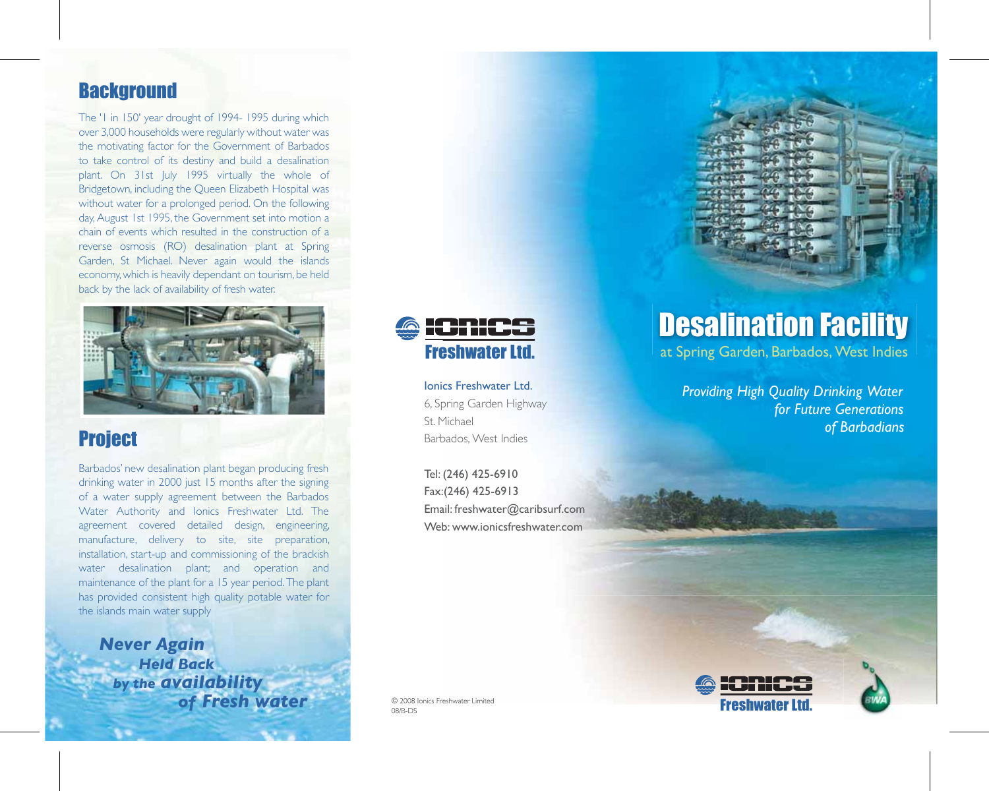# **Background**

The '1 in 150' year drought of 1994- 1995 during which over 3,000 households were regularly without water was the motivating factor for the Government of Barbados to take control of its destiny and build a desalination plant. On 31st July 1995 virtually the whole of Bridgetown, including the Queen Elizabeth Hospital was without water for a prolonged period. On the following day, August 1st 1995, the Government set into motion a chain of events which resulted in the construction of a reverse osmosis (RO) desalination plant at Spring Garden, St Michael. Never again would the islands economy, which is heavily dependant on tourism, be held back by the lack of availability of fresh water.



# **Project**

Barbados' new desalination plant began producing fresh drinking water in 2000 just 15 months after the signing of a water supply agreement between the Barbados Water Authority and Ionics Freshwater Ltd. The agreement covered detailed design, engineering, manufacture, delivery to site, site preparation, installation, start-up and commissioning of the brackish water desalination plant; and operation and maintenance of the plant for a 15 year period. The plant has provided consistent high quality potable water for the islands main water supply

*Never Again Held Back by the availability of Fresh water*



Ionics Freshwater Ltd. 6, Spring Garden Highway St. Michael Barbados, West Indies

Tel: (246) 425-6910 Fax:(246) 425-6913 Email: freshwater@caribsurf.com Web: www.ionicsfreshwater.com

# Desalination Facility

at Spring Garden, Barbados, West Indies

*Providing High Quality Drinking Water for Future Generations of Barbadians*



![](_page_0_Picture_13.jpeg)

© 2008 Ionics Freshwater Limited 08/B-DS